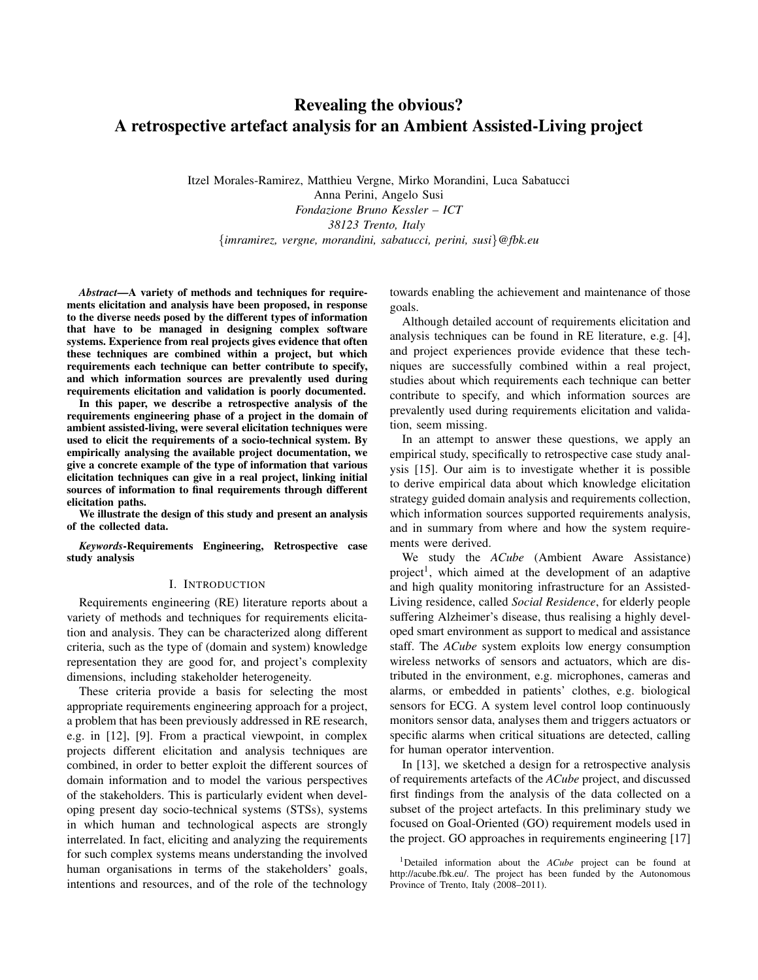# Revealing the obvious? A retrospective artefact analysis for an Ambient Assisted-Living project

Itzel Morales-Ramirez, Matthieu Vergne, Mirko Morandini, Luca Sabatucci Anna Perini, Angelo Susi *Fondazione Bruno Kessler – ICT 38123 Trento, Italy* {*imramirez, vergne, morandini, sabatucci, perini, susi*}*@fbk.eu*

*Abstract*—A variety of methods and techniques for requirements elicitation and analysis have been proposed, in response to the diverse needs posed by the different types of information that have to be managed in designing complex software systems. Experience from real projects gives evidence that often these techniques are combined within a project, but which requirements each technique can better contribute to specify, and which information sources are prevalently used during requirements elicitation and validation is poorly documented.

In this paper, we describe a retrospective analysis of the requirements engineering phase of a project in the domain of ambient assisted-living, were several elicitation techniques were used to elicit the requirements of a socio-technical system. By empirically analysing the available project documentation, we give a concrete example of the type of information that various elicitation techniques can give in a real project, linking initial sources of information to final requirements through different elicitation paths.

We illustrate the design of this study and present an analysis of the collected data.

*Keywords*-Requirements Engineering, Retrospective case study analysis

# I. INTRODUCTION

Requirements engineering (RE) literature reports about a variety of methods and techniques for requirements elicitation and analysis. They can be characterized along different criteria, such as the type of (domain and system) knowledge representation they are good for, and project's complexity dimensions, including stakeholder heterogeneity.

These criteria provide a basis for selecting the most appropriate requirements engineering approach for a project, a problem that has been previously addressed in RE research, e.g. in [12], [9]. From a practical viewpoint, in complex projects different elicitation and analysis techniques are combined, in order to better exploit the different sources of domain information and to model the various perspectives of the stakeholders. This is particularly evident when developing present day socio-technical systems (STSs), systems in which human and technological aspects are strongly interrelated. In fact, eliciting and analyzing the requirements for such complex systems means understanding the involved human organisations in terms of the stakeholders' goals, intentions and resources, and of the role of the technology towards enabling the achievement and maintenance of those goals.

Although detailed account of requirements elicitation and analysis techniques can be found in RE literature, e.g. [4], and project experiences provide evidence that these techniques are successfully combined within a real project, studies about which requirements each technique can better contribute to specify, and which information sources are prevalently used during requirements elicitation and validation, seem missing.

In an attempt to answer these questions, we apply an empirical study, specifically to retrospective case study analysis [15]. Our aim is to investigate whether it is possible to derive empirical data about which knowledge elicitation strategy guided domain analysis and requirements collection, which information sources supported requirements analysis, and in summary from where and how the system requirements were derived.

We study the *ACube* (Ambient Aware Assistance) project<sup>1</sup>, which aimed at the development of an adaptive and high quality monitoring infrastructure for an Assisted-Living residence, called *Social Residence*, for elderly people suffering Alzheimer's disease, thus realising a highly developed smart environment as support to medical and assistance staff. The *ACube* system exploits low energy consumption wireless networks of sensors and actuators, which are distributed in the environment, e.g. microphones, cameras and alarms, or embedded in patients' clothes, e.g. biological sensors for ECG. A system level control loop continuously monitors sensor data, analyses them and triggers actuators or specific alarms when critical situations are detected, calling for human operator intervention.

In [13], we sketched a design for a retrospective analysis of requirements artefacts of the *ACube* project, and discussed first findings from the analysis of the data collected on a subset of the project artefacts. In this preliminary study we focused on Goal-Oriented (GO) requirement models used in the project. GO approaches in requirements engineering [17]

<sup>1</sup>Detailed information about the *ACube* project can be found at http://acube.fbk.eu/. The project has been funded by the Autonomous Province of Trento, Italy (2008–2011).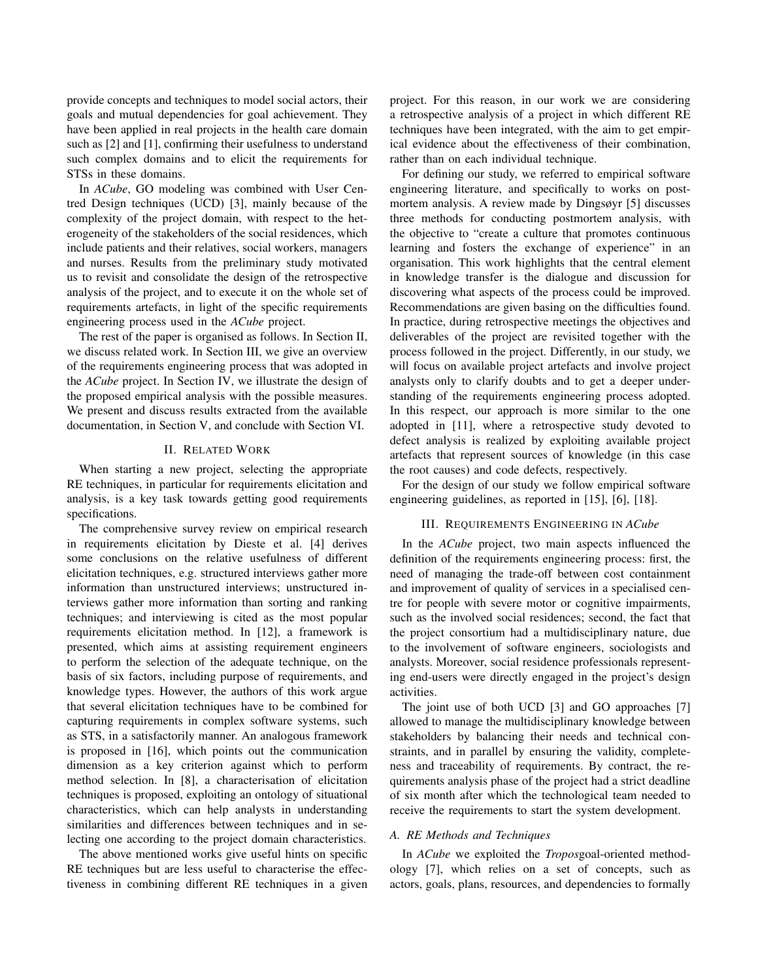provide concepts and techniques to model social actors, their goals and mutual dependencies for goal achievement. They have been applied in real projects in the health care domain such as [2] and [1], confirming their usefulness to understand such complex domains and to elicit the requirements for STSs in these domains.

In *ACube*, GO modeling was combined with User Centred Design techniques (UCD) [3], mainly because of the complexity of the project domain, with respect to the heterogeneity of the stakeholders of the social residences, which include patients and their relatives, social workers, managers and nurses. Results from the preliminary study motivated us to revisit and consolidate the design of the retrospective analysis of the project, and to execute it on the whole set of requirements artefacts, in light of the specific requirements engineering process used in the *ACube* project.

The rest of the paper is organised as follows. In Section II, we discuss related work. In Section III, we give an overview of the requirements engineering process that was adopted in the *ACube* project. In Section IV, we illustrate the design of the proposed empirical analysis with the possible measures. We present and discuss results extracted from the available documentation, in Section V, and conclude with Section VI.

# II. RELATED WORK

When starting a new project, selecting the appropriate RE techniques, in particular for requirements elicitation and analysis, is a key task towards getting good requirements specifications.

The comprehensive survey review on empirical research in requirements elicitation by Dieste et al. [4] derives some conclusions on the relative usefulness of different elicitation techniques, e.g. structured interviews gather more information than unstructured interviews; unstructured interviews gather more information than sorting and ranking techniques; and interviewing is cited as the most popular requirements elicitation method. In [12], a framework is presented, which aims at assisting requirement engineers to perform the selection of the adequate technique, on the basis of six factors, including purpose of requirements, and knowledge types. However, the authors of this work argue that several elicitation techniques have to be combined for capturing requirements in complex software systems, such as STS, in a satisfactorily manner. An analogous framework is proposed in [16], which points out the communication dimension as a key criterion against which to perform method selection. In [8], a characterisation of elicitation techniques is proposed, exploiting an ontology of situational characteristics, which can help analysts in understanding similarities and differences between techniques and in selecting one according to the project domain characteristics.

The above mentioned works give useful hints on specific RE techniques but are less useful to characterise the effectiveness in combining different RE techniques in a given project. For this reason, in our work we are considering a retrospective analysis of a project in which different RE techniques have been integrated, with the aim to get empirical evidence about the effectiveness of their combination, rather than on each individual technique.

For defining our study, we referred to empirical software engineering literature, and specifically to works on postmortem analysis. A review made by Dingsøyr [5] discusses three methods for conducting postmortem analysis, with the objective to "create a culture that promotes continuous learning and fosters the exchange of experience" in an organisation. This work highlights that the central element in knowledge transfer is the dialogue and discussion for discovering what aspects of the process could be improved. Recommendations are given basing on the difficulties found. In practice, during retrospective meetings the objectives and deliverables of the project are revisited together with the process followed in the project. Differently, in our study, we will focus on available project artefacts and involve project analysts only to clarify doubts and to get a deeper understanding of the requirements engineering process adopted. In this respect, our approach is more similar to the one adopted in [11], where a retrospective study devoted to defect analysis is realized by exploiting available project artefacts that represent sources of knowledge (in this case the root causes) and code defects, respectively.

For the design of our study we follow empirical software engineering guidelines, as reported in [15], [6], [18].

## III. REQUIREMENTS ENGINEERING IN *ACube*

In the *ACube* project, two main aspects influenced the definition of the requirements engineering process: first, the need of managing the trade-off between cost containment and improvement of quality of services in a specialised centre for people with severe motor or cognitive impairments, such as the involved social residences; second, the fact that the project consortium had a multidisciplinary nature, due to the involvement of software engineers, sociologists and analysts. Moreover, social residence professionals representing end-users were directly engaged in the project's design activities.

The joint use of both UCD [3] and GO approaches [7] allowed to manage the multidisciplinary knowledge between stakeholders by balancing their needs and technical constraints, and in parallel by ensuring the validity, completeness and traceability of requirements. By contract, the requirements analysis phase of the project had a strict deadline of six month after which the technological team needed to receive the requirements to start the system development.

# *A. RE Methods and Techniques*

In *ACube* we exploited the *Tropos*goal-oriented methodology [7], which relies on a set of concepts, such as actors, goals, plans, resources, and dependencies to formally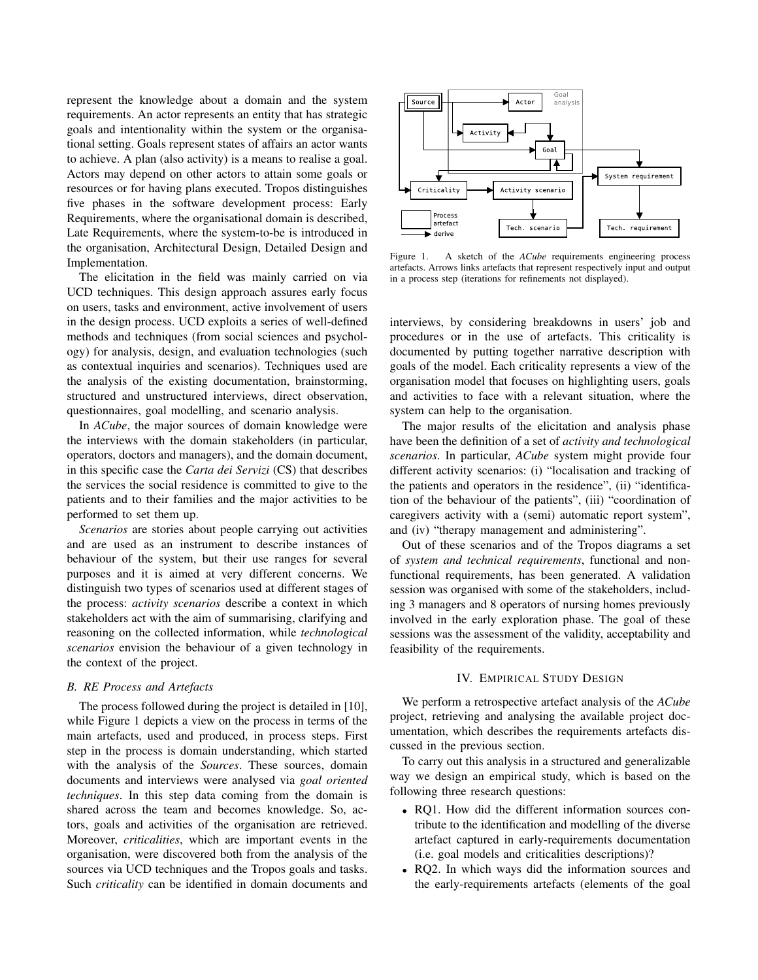represent the knowledge about a domain and the system requirements. An actor represents an entity that has strategic goals and intentionality within the system or the organisational setting. Goals represent states of affairs an actor wants to achieve. A plan (also activity) is a means to realise a goal. Actors may depend on other actors to attain some goals or resources or for having plans executed. Tropos distinguishes five phases in the software development process: Early Requirements, where the organisational domain is described, Late Requirements, where the system-to-be is introduced in the organisation, Architectural Design, Detailed Design and Implementation.

The elicitation in the field was mainly carried on via UCD techniques. This design approach assures early focus on users, tasks and environment, active involvement of users in the design process. UCD exploits a series of well-defined methods and techniques (from social sciences and psychology) for analysis, design, and evaluation technologies (such as contextual inquiries and scenarios). Techniques used are the analysis of the existing documentation, brainstorming, structured and unstructured interviews, direct observation, questionnaires, goal modelling, and scenario analysis.

In *ACube*, the major sources of domain knowledge were the interviews with the domain stakeholders (in particular, operators, doctors and managers), and the domain document, in this specific case the *Carta dei Servizi* (CS) that describes the services the social residence is committed to give to the patients and to their families and the major activities to be performed to set them up.

*Scenarios* are stories about people carrying out activities and are used as an instrument to describe instances of behaviour of the system, but their use ranges for several purposes and it is aimed at very different concerns. We distinguish two types of scenarios used at different stages of the process: *activity scenarios* describe a context in which stakeholders act with the aim of summarising, clarifying and reasoning on the collected information, while *technological scenarios* envision the behaviour of a given technology in the context of the project.

# *B. RE Process and Artefacts*

The process followed during the project is detailed in [10], while Figure 1 depicts a view on the process in terms of the main artefacts, used and produced, in process steps. First step in the process is domain understanding, which started with the analysis of the *Sources*. These sources, domain documents and interviews were analysed via *goal oriented techniques*. In this step data coming from the domain is shared across the team and becomes knowledge. So, actors, goals and activities of the organisation are retrieved. Moreover, *criticalities*, which are important events in the organisation, were discovered both from the analysis of the sources via UCD techniques and the Tropos goals and tasks. Such *criticality* can be identified in domain documents and



Figure 1. A sketch of the *ACube* requirements engineering process artefacts. Arrows links artefacts that represent respectively input and output in a process step (iterations for refinements not displayed).

interviews, by considering breakdowns in users' job and procedures or in the use of artefacts. This criticality is documented by putting together narrative description with goals of the model. Each criticality represents a view of the organisation model that focuses on highlighting users, goals and activities to face with a relevant situation, where the system can help to the organisation.

The major results of the elicitation and analysis phase have been the definition of a set of *activity and technological scenarios*. In particular, *ACube* system might provide four different activity scenarios: (i) "localisation and tracking of the patients and operators in the residence", (ii) "identification of the behaviour of the patients", (iii) "coordination of caregivers activity with a (semi) automatic report system", and (iv) "therapy management and administering".

Out of these scenarios and of the Tropos diagrams a set of *system and technical requirements*, functional and nonfunctional requirements, has been generated. A validation session was organised with some of the stakeholders, including 3 managers and 8 operators of nursing homes previously involved in the early exploration phase. The goal of these sessions was the assessment of the validity, acceptability and feasibility of the requirements.

### IV. EMPIRICAL STUDY DESIGN

We perform a retrospective artefact analysis of the *ACube* project, retrieving and analysing the available project documentation, which describes the requirements artefacts discussed in the previous section.

To carry out this analysis in a structured and generalizable way we design an empirical study, which is based on the following three research questions:

- RQ1. How did the different information sources contribute to the identification and modelling of the diverse artefact captured in early-requirements documentation (i.e. goal models and criticalities descriptions)?
- RQ2. In which ways did the information sources and the early-requirements artefacts (elements of the goal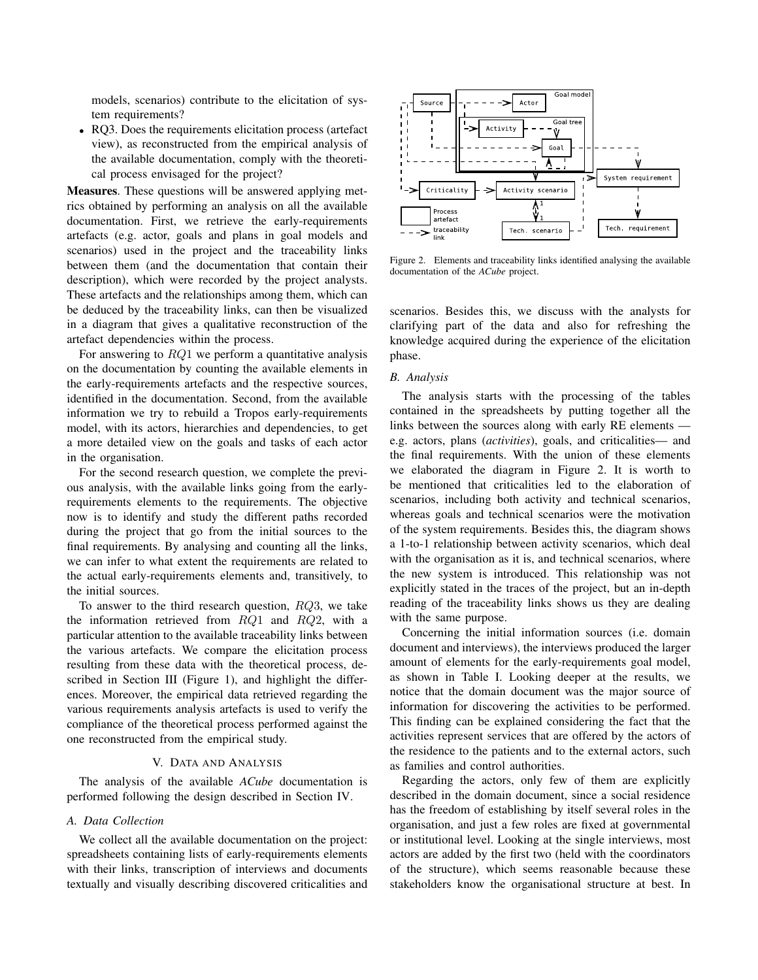models, scenarios) contribute to the elicitation of system requirements?

• RQ3. Does the requirements elicitation process (artefact view), as reconstructed from the empirical analysis of the available documentation, comply with the theoretical process envisaged for the project?

Measures. These questions will be answered applying metrics obtained by performing an analysis on all the available documentation. First, we retrieve the early-requirements artefacts (e.g. actor, goals and plans in goal models and scenarios) used in the project and the traceability links between them (and the documentation that contain their description), which were recorded by the project analysts. These artefacts and the relationships among them, which can be deduced by the traceability links, can then be visualized in a diagram that gives a qualitative reconstruction of the artefact dependencies within the process.

For answering to  $RQ1$  we perform a quantitative analysis on the documentation by counting the available elements in the early-requirements artefacts and the respective sources, identified in the documentation. Second, from the available information we try to rebuild a Tropos early-requirements model, with its actors, hierarchies and dependencies, to get a more detailed view on the goals and tasks of each actor in the organisation.

For the second research question, we complete the previous analysis, with the available links going from the earlyrequirements elements to the requirements. The objective now is to identify and study the different paths recorded during the project that go from the initial sources to the final requirements. By analysing and counting all the links, we can infer to what extent the requirements are related to the actual early-requirements elements and, transitively, to the initial sources.

To answer to the third research question, RQ3, we take the information retrieved from  $RQ1$  and  $RQ2$ , with a particular attention to the available traceability links between the various artefacts. We compare the elicitation process resulting from these data with the theoretical process, described in Section III (Figure 1), and highlight the differences. Moreover, the empirical data retrieved regarding the various requirements analysis artefacts is used to verify the compliance of the theoretical process performed against the one reconstructed from the empirical study.

# V. DATA AND ANALYSIS

The analysis of the available *ACube* documentation is performed following the design described in Section IV.

#### *A. Data Collection*

We collect all the available documentation on the project: spreadsheets containing lists of early-requirements elements with their links, transcription of interviews and documents textually and visually describing discovered criticalities and



Figure 2. Elements and traceability links identified analysing the available documentation of the *ACube* project.

scenarios. Besides this, we discuss with the analysts for clarifying part of the data and also for refreshing the knowledge acquired during the experience of the elicitation phase.

## *B. Analysis*

The analysis starts with the processing of the tables contained in the spreadsheets by putting together all the links between the sources along with early RE elements e.g. actors, plans (*activities*), goals, and criticalities— and the final requirements. With the union of these elements we elaborated the diagram in Figure 2. It is worth to be mentioned that criticalities led to the elaboration of scenarios, including both activity and technical scenarios, whereas goals and technical scenarios were the motivation of the system requirements. Besides this, the diagram shows a 1-to-1 relationship between activity scenarios, which deal with the organisation as it is, and technical scenarios, where the new system is introduced. This relationship was not explicitly stated in the traces of the project, but an in-depth reading of the traceability links shows us they are dealing with the same purpose.

Concerning the initial information sources (i.e. domain document and interviews), the interviews produced the larger amount of elements for the early-requirements goal model, as shown in Table I. Looking deeper at the results, we notice that the domain document was the major source of information for discovering the activities to be performed. This finding can be explained considering the fact that the activities represent services that are offered by the actors of the residence to the patients and to the external actors, such as families and control authorities.

Regarding the actors, only few of them are explicitly described in the domain document, since a social residence has the freedom of establishing by itself several roles in the organisation, and just a few roles are fixed at governmental or institutional level. Looking at the single interviews, most actors are added by the first two (held with the coordinators of the structure), which seems reasonable because these stakeholders know the organisational structure at best. In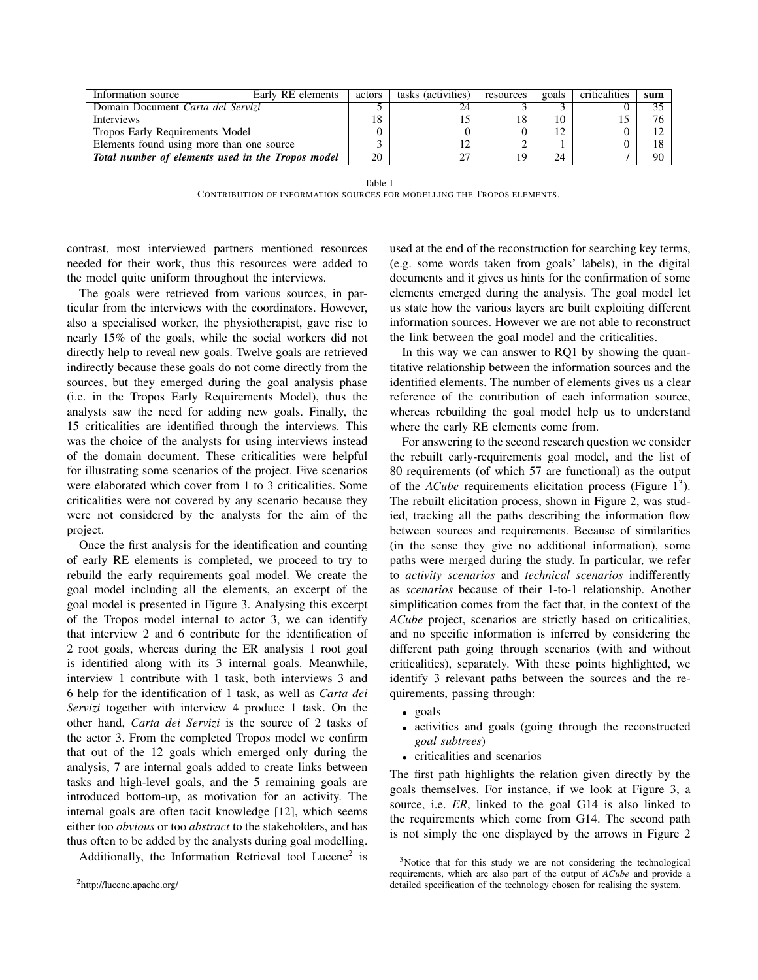| Information source                                | Early RE elements | actors | tasks (activities) | resources | goals | criticalities | sum |
|---------------------------------------------------|-------------------|--------|--------------------|-----------|-------|---------------|-----|
| Domain Document Carta dei Servizi                 |                   |        | 24                 |           |       |               |     |
| <i><u><b>Interviews</b></u></i>                   |                   | 18     |                    |           |       |               |     |
| Tropos Early Requirements Model                   |                   |        |                    |           |       |               |     |
| Elements found using more than one source         |                   |        |                    |           |       |               |     |
| Total number of elements used in the Tropos model |                   |        | 27                 |           | 24    |               | 90  |

Table I

CONTRIBUTION OF INFORMATION SOURCES FOR MODELLING THE TROPOS ELEMENTS.

contrast, most interviewed partners mentioned resources needed for their work, thus this resources were added to the model quite uniform throughout the interviews.

The goals were retrieved from various sources, in particular from the interviews with the coordinators. However, also a specialised worker, the physiotherapist, gave rise to nearly 15% of the goals, while the social workers did not directly help to reveal new goals. Twelve goals are retrieved indirectly because these goals do not come directly from the sources, but they emerged during the goal analysis phase (i.e. in the Tropos Early Requirements Model), thus the analysts saw the need for adding new goals. Finally, the 15 criticalities are identified through the interviews. This was the choice of the analysts for using interviews instead of the domain document. These criticalities were helpful for illustrating some scenarios of the project. Five scenarios were elaborated which cover from 1 to 3 criticalities. Some criticalities were not covered by any scenario because they were not considered by the analysts for the aim of the project.

Once the first analysis for the identification and counting of early RE elements is completed, we proceed to try to rebuild the early requirements goal model. We create the goal model including all the elements, an excerpt of the goal model is presented in Figure 3. Analysing this excerpt of the Tropos model internal to actor 3, we can identify that interview 2 and 6 contribute for the identification of 2 root goals, whereas during the ER analysis 1 root goal is identified along with its 3 internal goals. Meanwhile, interview 1 contribute with 1 task, both interviews 3 and 6 help for the identification of 1 task, as well as *Carta dei Servizi* together with interview 4 produce 1 task. On the other hand, *Carta dei Servizi* is the source of 2 tasks of the actor 3. From the completed Tropos model we confirm that out of the 12 goals which emerged only during the analysis, 7 are internal goals added to create links between tasks and high-level goals, and the 5 remaining goals are introduced bottom-up, as motivation for an activity. The internal goals are often tacit knowledge [12], which seems either too *obvious* or too *abstract* to the stakeholders, and has thus often to be added by the analysts during goal modelling.

Additionally, the Information Retrieval tool Lucene<sup>2</sup> is

used at the end of the reconstruction for searching key terms, (e.g. some words taken from goals' labels), in the digital documents and it gives us hints for the confirmation of some elements emerged during the analysis. The goal model let us state how the various layers are built exploiting different information sources. However we are not able to reconstruct the link between the goal model and the criticalities.

In this way we can answer to RQ1 by showing the quantitative relationship between the information sources and the identified elements. The number of elements gives us a clear reference of the contribution of each information source, whereas rebuilding the goal model help us to understand where the early RE elements come from.

For answering to the second research question we consider the rebuilt early-requirements goal model, and the list of 80 requirements (of which 57 are functional) as the output of the *ACube* requirements elicitation process (Figure 1<sup>3</sup>). The rebuilt elicitation process, shown in Figure 2, was studied, tracking all the paths describing the information flow between sources and requirements. Because of similarities (in the sense they give no additional information), some paths were merged during the study. In particular, we refer to *activity scenarios* and *technical scenarios* indifferently as *scenarios* because of their 1-to-1 relationship. Another simplification comes from the fact that, in the context of the *ACube* project, scenarios are strictly based on criticalities, and no specific information is inferred by considering the different path going through scenarios (with and without criticalities), separately. With these points highlighted, we identify 3 relevant paths between the sources and the requirements, passing through:

- goals
- activities and goals (going through the reconstructed *goal subtrees*)
- criticalities and scenarios

The first path highlights the relation given directly by the goals themselves. For instance, if we look at Figure 3, a source, i.e. *ER*, linked to the goal G14 is also linked to the requirements which come from G14. The second path is not simply the one displayed by the arrows in Figure 2

<sup>&</sup>lt;sup>3</sup>Notice that for this study we are not considering the technological requirements, which are also part of the output of *ACube* and provide a detailed specification of the technology chosen for realising the system.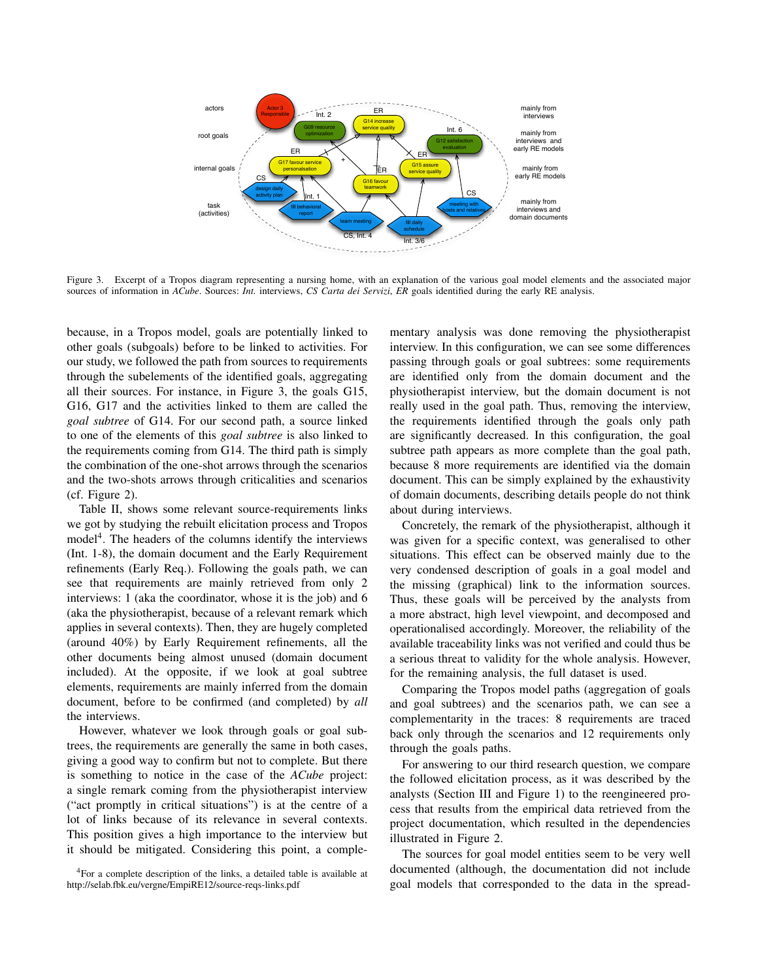

Figure 3. Excerpt of a Tropos diagram representing a nursing home, with an explanation of the various goal model elements and the associated major sources of information in *ACube*. Sources: *Int.* interviews, *CS Carta dei Servizi*, *ER* goals identified during the early RE analysis.

because, in a Tropos model, goals are potentially linked to other goals (subgoals) before to be linked to activities. For our study, we followed the path from sources to requirements through the subelements of the identified goals, aggregating all their sources. For instance, in Figure 3, the goals G15, G16, G17 and the activities linked to them are called the *goal subtree* of G14. For our second path, a source linked to one of the elements of this *goal subtree* is also linked to the requirements coming from G14. The third path is simply the combination of the one-shot arrows through the scenarios and the two-shots arrows through criticalities and scenarios (cf. Figure 2).

Table II, shows some relevant source-requirements links we got by studying the rebuilt elicitation process and Tropos model<sup>4</sup>. The headers of the columns identify the interviews (Int. 1-8), the domain document and the Early Requirement refinements (Early Req.). Following the goals path, we can see that requirements are mainly retrieved from only 2 interviews: 1 (aka the coordinator, whose it is the job) and 6 (aka the physiotherapist, because of a relevant remark which applies in several contexts). Then, they are hugely completed (around 40%) by Early Requirement refinements, all the other documents being almost unused (domain document included). At the opposite, if we look at goal subtree elements, requirements are mainly inferred from the domain document, before to be confirmed (and completed) by *all* the interviews.

However, whatever we look through goals or goal subtrees, the requirements are generally the same in both cases, giving a good way to confirm but not to complete. But there is something to notice in the case of the *ACube* project: a single remark coming from the physiotherapist interview ("act promptly in critical situations") is at the centre of a lot of links because of its relevance in several contexts. This position gives a high importance to the interview but it should be mitigated. Considering this point, a complementary analysis was done removing the physiotherapist interview. In this configuration, we can see some differences passing through goals or goal subtrees: some requirements are identified only from the domain document and the physiotherapist interview, but the domain document is not really used in the goal path. Thus, removing the interview, the requirements identified through the goals only path are significantly decreased. In this configuration, the goal subtree path appears as more complete than the goal path, because 8 more requirements are identified via the domain document. This can be simply explained by the exhaustivity of domain documents, describing details people do not think about during interviews.

Concretely, the remark of the physiotherapist, although it was given for a specific context, was generalised to other situations. This effect can be observed mainly due to the very condensed description of goals in a goal model and the missing (graphical) link to the information sources. Thus, these goals will be perceived by the analysts from a more abstract, high level viewpoint, and decomposed and operationalised accordingly. Moreover, the reliability of the available traceability links was not verified and could thus be a serious threat to validity for the whole analysis. However, for the remaining analysis, the full dataset is used.

Comparing the Tropos model paths (aggregation of goals and goal subtrees) and the scenarios path, we can see a complementarity in the traces: 8 requirements are traced back only through the scenarios and 12 requirements only through the goals paths.

For answering to our third research question, we compare the followed elicitation process, as it was described by the analysts (Section III and Figure 1) to the reengineered process that results from the empirical data retrieved from the project documentation, which resulted in the dependencies illustrated in Figure 2.

The sources for goal model entities seem to be very well documented (although, the documentation did not include goal models that corresponded to the data in the spread-

<sup>4</sup>For a complete description of the links, a detailed table is available at http://selab.fbk.eu/vergne/EmpiRE12/source-reqs-links.pdf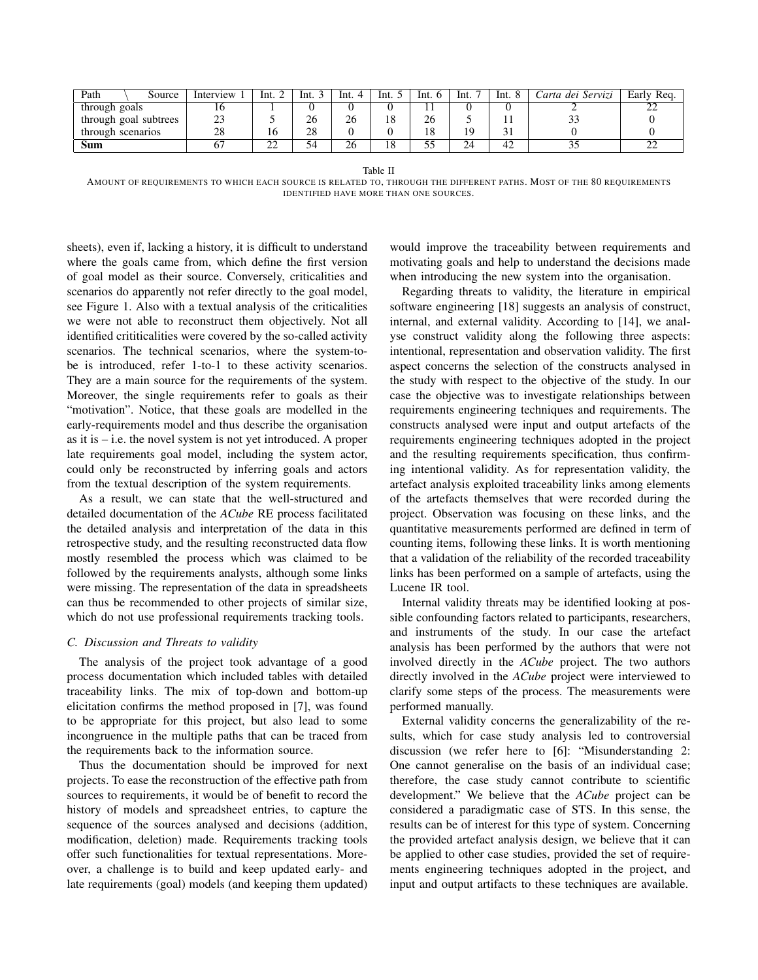| Path<br>Source        | Interview  | Int.    | Int.     | Int. | Int.                 | Int.     | lnt. | Int. | Carta dei Servizi | Early Req. |
|-----------------------|------------|---------|----------|------|----------------------|----------|------|------|-------------------|------------|
| through goals         | 10         |         |          |      |                      |          |      |      |                   |            |
| through goal subtrees | $\angle 3$ |         | 26       | 26   | 1 <sub>O</sub><br>10 | 26       |      |      | ر_ ر              |            |
| through scenarios     | 28         | 10      | ററ<br>20 |      |                      |          | 19   |      |                   |            |
| Sum                   |            | າາ<br>∸ | 54       | 26   | 10<br>10             | cc<br>ັບ | 24   | 42   |                   |            |

Table II

AMOUNT OF REQUIREMENTS TO WHICH EACH SOURCE IS RELATED TO, THROUGH THE DIFFERENT PATHS. MOST OF THE 80 REQUIREMENTS IDENTIFIED HAVE MORE THAN ONE SOURCES.

sheets), even if, lacking a history, it is difficult to understand where the goals came from, which define the first version of goal model as their source. Conversely, criticalities and scenarios do apparently not refer directly to the goal model, see Figure 1. Also with a textual analysis of the criticalities we were not able to reconstruct them objectively. Not all identified crititicalities were covered by the so-called activity scenarios. The technical scenarios, where the system-tobe is introduced, refer 1-to-1 to these activity scenarios. They are a main source for the requirements of the system. Moreover, the single requirements refer to goals as their "motivation". Notice, that these goals are modelled in the early-requirements model and thus describe the organisation as it is – i.e. the novel system is not yet introduced. A proper late requirements goal model, including the system actor, could only be reconstructed by inferring goals and actors from the textual description of the system requirements.

As a result, we can state that the well-structured and detailed documentation of the *ACube* RE process facilitated the detailed analysis and interpretation of the data in this retrospective study, and the resulting reconstructed data flow mostly resembled the process which was claimed to be followed by the requirements analysts, although some links were missing. The representation of the data in spreadsheets can thus be recommended to other projects of similar size, which do not use professional requirements tracking tools.

## *C. Discussion and Threats to validity*

The analysis of the project took advantage of a good process documentation which included tables with detailed traceability links. The mix of top-down and bottom-up elicitation confirms the method proposed in [7], was found to be appropriate for this project, but also lead to some incongruence in the multiple paths that can be traced from the requirements back to the information source.

Thus the documentation should be improved for next projects. To ease the reconstruction of the effective path from sources to requirements, it would be of benefit to record the history of models and spreadsheet entries, to capture the sequence of the sources analysed and decisions (addition, modification, deletion) made. Requirements tracking tools offer such functionalities for textual representations. Moreover, a challenge is to build and keep updated early- and late requirements (goal) models (and keeping them updated) would improve the traceability between requirements and motivating goals and help to understand the decisions made when introducing the new system into the organisation.

Regarding threats to validity, the literature in empirical software engineering [18] suggests an analysis of construct, internal, and external validity. According to [14], we analyse construct validity along the following three aspects: intentional, representation and observation validity. The first aspect concerns the selection of the constructs analysed in the study with respect to the objective of the study. In our case the objective was to investigate relationships between requirements engineering techniques and requirements. The constructs analysed were input and output artefacts of the requirements engineering techniques adopted in the project and the resulting requirements specification, thus confirming intentional validity. As for representation validity, the artefact analysis exploited traceability links among elements of the artefacts themselves that were recorded during the project. Observation was focusing on these links, and the quantitative measurements performed are defined in term of counting items, following these links. It is worth mentioning that a validation of the reliability of the recorded traceability links has been performed on a sample of artefacts, using the Lucene IR tool.

Internal validity threats may be identified looking at possible confounding factors related to participants, researchers, and instruments of the study. In our case the artefact analysis has been performed by the authors that were not involved directly in the *ACube* project. The two authors directly involved in the *ACube* project were interviewed to clarify some steps of the process. The measurements were performed manually.

External validity concerns the generalizability of the results, which for case study analysis led to controversial discussion (we refer here to [6]: "Misunderstanding 2: One cannot generalise on the basis of an individual case; therefore, the case study cannot contribute to scientific development." We believe that the *ACube* project can be considered a paradigmatic case of STS. In this sense, the results can be of interest for this type of system. Concerning the provided artefact analysis design, we believe that it can be applied to other case studies, provided the set of requirements engineering techniques adopted in the project, and input and output artifacts to these techniques are available.